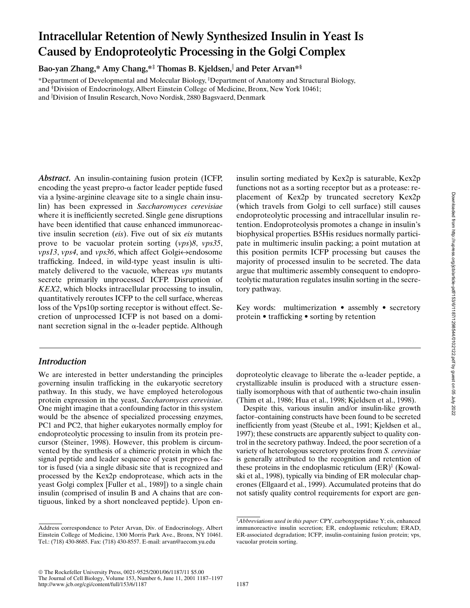# **Intracellular Retention of Newly Synthesized Insulin in Yeast Is Caused by Endoproteolytic Processing in the Golgi Complex**

 $\mathsf{Bao}$ -yan Zhang,\* Amy Chang,\*‡ Thomas B. Kjeldsen, $^{\parallel}$  and Peter Arvan\*§

\*Department of Developmental and Molecular Biology, ‡ Department of Anatomy and Structural Biology, and § Division of Endocrinology, Albert Einstein College of Medicine, Bronx, New York 10461; and <sup>|</sup>Division of Insulin Research, Novo Nordisk, 2880 Bagsvaerd, Denmark

*Abstract.* An insulin-containing fusion protein (ICFP, encoding the yeast prepro- $\alpha$  factor leader peptide fused via a lysine-arginine cleavage site to a single chain insulin) has been expressed in *Saccharomyces cerevisiae* where it is inefficiently secreted. Single gene disruptions have been identified that cause enhanced immunoreactive insulin secretion (*eis*). Five out of six *eis* mutants prove to be vacuolar protein sorting (*vps*)*8*, *vps35*, *vps13*, *vps4*, and *vps36*, which affect Golgi↔endosome trafficking. Indeed, in wild-type yeast insulin is ultimately delivered to the vacuole, whereas *vps* mutants secrete primarily unprocessed ICFP. Disruption of *KEX2*, which blocks intracellular processing to insulin, quantitatively reroutes ICFP to the cell surface, whereas loss of the Vps10p sorting receptor is without effect. Secretion of unprocessed ICFP is not based on a dominant secretion signal in the  $\alpha$ -leader peptide. Although

# *Introduction*

We are interested in better understanding the principles governing insulin trafficking in the eukaryotic secretory pathway. In this study, we have employed heterologous protein expression in the yeast, *Saccharomyces cerevisiae*. One might imagine that a confounding factor in this system would be the absence of specialized processing enzymes, PC1 and PC2, that higher eukaryotes normally employ for endoproteolytic processing to insulin from its protein precursor (Steiner, 1998). However, this problem is circumvented by the synthesis of a chimeric protein in which the signal peptide and leader sequence of yeast prepro- $\alpha$  factor is fused (via a single dibasic site that is recognized and processed by the Kex2p endoprotease, which acts in the yeast Golgi complex [Fuller et al., 1989]) to a single chain insulin (comprised of insulin B and A chains that are contiguous, linked by a short noncleaved peptide). Upon eninsulin sorting mediated by Kex2p is saturable, Kex2p functions not as a sorting receptor but as a protease: replacement of Kex2p by truncated secretory Kex2p (which travels from Golgi to cell surface) still causes endoproteolytic processing and intracellular insulin retention. Endoproteolysis promotes a change in insulin's biophysical properties. B5His residues normally participate in multimeric insulin packing; a point mutation at this position permits ICFP processing but causes the majority of processed insulin to be secreted. The data argue that multimeric assembly consequent to endoproteolytic maturation regulates insulin sorting in the secretory pathway.

Key words: multimerization • assembly • secretory protein • trafficking • sorting by retention

doproteolytic cleavage to liberate the  $\alpha$ -leader peptide, a crystallizable insulin is produced with a structure essentially isomorphous with that of authentic two-chain insulin (Thim et al., 1986; Hua et al., 1998; Kjeldsen et al., 1998).

Despite this, various insulin and/or insulin-like growth factor–containing constructs have been found to be secreted inefficiently from yeast (Steube et al., 1991; Kjeldsen et al., 1997); these constructs are apparently subject to quality control in the secretory pathway. Indeed, the poor secretion of a variety of heterologous secretory proteins from *S. cerevisiae* is generally attributed to the recognition and retention of these proteins in the endoplasmic reticulum  $(ER)^1$  (Kowalski et al., 1998), typically via binding of ER molecular chaperones (Ellgaard et al., 1999). Accumulated proteins that do not satisfy quality control requirements for export are gen-

Address correspondence to Peter Arvan, Div. of Endocrinology, Albert Einstein College of Medicine, 1300 Morris Park Ave., Bronx, NY 10461. Tel.: (718) 430-8685. Fax: (718) 430-8557. E-mail: arvan@aecom.yu.edu

<sup>1</sup> *Abbreviations used in this paper:* CPY, carboxypeptidase Y; eis, enhanced immunoreactive insulin secretion; ER, endoplasmic reticulum; ERAD, ER-associated degradation; ICFP, insulin-containing fusion protein; vps, vacuolar protein sorting.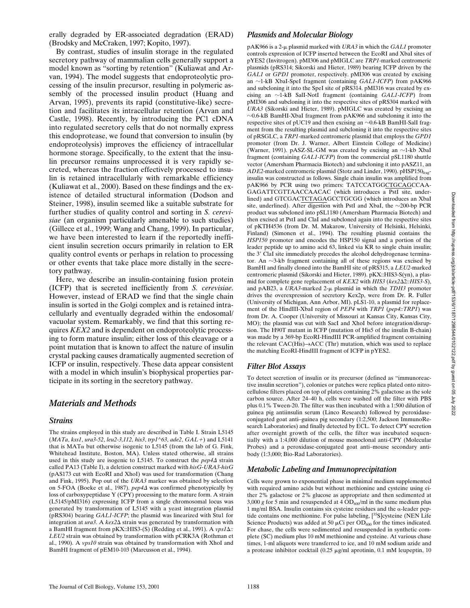By contrast, studies of insulin storage in the regulated secretory pathway of mammalian cells generally support a model known as "sorting by retention" (Kuliawat and Arvan, 1994). The model suggests that endoproteolytic processing of the insulin precursor, resulting in polymeric assembly of the processed insulin product (Huang and Arvan, 1995), prevents its rapid (constitutive-like) secretion and facilitates its intracellular retention (Arvan and Castle, 1998). Recently, by introducing the PC1 cDNA into regulated secretory cells that do not normally express this endoprotease, we found that conversion to insulin (by endoproteolysis) improves the efficiency of intracellular hormone storage. Specifically, to the extent that the insulin precursor remains unprocessed it is very rapidly secreted, whereas the fraction effectively processed to insulin is retained intracellularly with remarkable efficiency (Kuliawat et al., 2000). Based on these findings and the existence of detailed structural information (Dodson and Steiner, 1998), insulin seemed like a suitable substrate for further studies of quality control and sorting in *S. cerevisiae* (an organism particularly amenable to such studies) (Gillece et al., 1999; Wang and Chang, 1999). In particular, we have been interested to learn if the reportedly inefficient insulin secretion occurs primarily in relation to ER quality control events or perhaps in relation to processing or other events that take place more distally in the secretory pathway.

Here, we describe an insulin-containing fusion protein (ICFP) that is secreted inefficiently from *S. cerevisiae*. However, instead of ERAD we find that the single chain insulin is sorted in the Golgi complex and is retained intracellularly and eventually degraded within the endosomal/ vacuolar system. Remarkably, we find that this sorting requires *KEX2* and is dependent on endoproteolytic processing to form mature insulin; either loss of this cleavage or a point mutation that is known to affect the nature of insulin crystal packing causes dramatically augmented secretion of ICFP or insulin, respectively. These data appear consistent with a model in which insulin's biophysical properties participate in its sorting in the secretory pathway.

# *Materials and Methods*

#### *Strains*

The strains employed in this study are described in Table I. Strain L5145 (*MATa*, *kss1*, *ura3-52*, *leu2-3,112*, *his3*, *trp1^63*, *ade2*, *GAL*) and L5141 that is MAT $\alpha$  but otherwise isogenic to L5145 (from the lab of G. Fink, Whitehead Institute, Boston, MA). Unless stated otherwise, all strains used in this study are isogenic to L5145. To construct the  $pep4\Delta$  strain called PA13 (Table I), a deletion construct marked with *hisG-URA3-hisG* (pAS173 cut with EcoRI and XhoI) was used for transformation (Chang and Fink, 1995). Pop out of the *URA3* marker was obtained by selection on 5-FOA (Boeke et al., 1987). *pep4* was confirmed phenotypically by loss of carboxypeptidase Y (CPY) processing to the mature form. A strain (L5145/pMI316) expressing ICFP from a single chromosomal locus was generated by transformation of L5145 with a yeast integration plasmid (pRS304) bearing *GAL1-ICFP*; the plasmid was linearized with Stu1 for integration at  $ura3$ . A  $kex2\Delta$  strain was generated by transformation with a BamHI fragment from pKX::HIS3-(S) (Redding et al., 1991). A *vps1* $\Delta$ :: *LEU2* strain was obtained by transformation with pCRK3A (Rothman et al., 1990). A *vps10* strain was obtained by transformation with XhoI and BamHI fragment of pEM10-103 (Marcusson et al., 1994).

#### *Plasmids and Molecular Biology*

pAK966 is a 2- $\mu$  plasmid marked with *URA3* in which the *GAL1* promoter controls expression of ICFP inserted between the EcoRI and XbaI sites of pYES2 (Invitrogen). pMI306 and pMIGLC are *TRP1*-marked centromeric plasmids (pRS314; Sikorski and Hieter, 1989) bearing ICFP driven by the *GAL1* or *GPD1* promoter, respectively. pMI306 was created by excising an -1-kB XbaI-SpeI fragment (containing *GAL1-ICFP*) from pAK966 and subcloning it into the SpeI site of pRS314. pMI316 was created by excising an -1-kB SalI-NotI fragment (containing *GAL1-ICFP*) from pMI306 and subcloning it into the respective sites of pRS304 marked with *URA3* (Sikorski and Hieter, 1989). pMIGLC was created by excising an -0.6-kB BamHI-XbaI fragment from pAK966 and subcloning it into the respective sites of pUC19 and then excising an  $\sim$ 0.6-kB BamHI-SalI fragment from the resulting plasmid and subcloning it into the respective sites of pRSGLC, a *TRP1*-marked centromeric plasmid that employs the *GPD1* promoter (from Dr. J. Warner, Albert Einstein College of Medicine) (Warner, 1991). pASZ-SL-GM was created by excising an  $\sim$ 1-kb XbaI fragment (containing *GAL1-ICFP*) from the commercial pSL1180 shuttle vector (Amersham Pharmacia Biotech) and subcloning it into pASZ11, an ADE2-marked centromeric plasmid (Stotz and Linder, 1990). pHSP150<sub>frag</sub>insulin was constructed as follows. Single chain insulin was amplified from pAK966 by PCR using two primers: TATCCATGGCTGCAGCCAA-GAGATTCGTTAACCAACAC (which introduces a PstI site, underlined) and GTCGACTCTAGAGCCTGCGG (which introduces an XbaI site, underlined). After digestion with PstI and XbaI, the  $\sim$ 200-bp PCR product was subcloned into pSL1180 (Amersham Pharmacia Biotech) and then excised at PstI and ClaI and subcloned again into the respective sites of pKTH4536 (from Dr. M. Makarow, University of Helsinki, Helsinki, Finland) (Simonen et al., 1994). The resulting plasmid contains the *HSP150* promoter and encodes the HSP150 signal and a portion of the leader peptide up to amino acid 63, linked via KR to single chain insulin; the 3' ClaI site immediately precedes the alcohol dehydrogenase terminator. An  $\sim$ 3-kb fragment containing all of these regions was excised by BamHI and finally cloned into the BamHI site of pRS315, a *LEU2-*marked centromeric plasmid (Sikorski and Hieter, 1989). pKX::HIS3-S(yn), a plasmid for complete gene replacement of *KEX2* with *HIS3* (*kex2*2*::HIS3-S*), and pAB23, a *URA3*-marked 2-μ plasmid in which the *TDH3* promoter drives the overexpression of secretory Kex2p, were from Dr. R. Fuller (University of Michigan, Ann Arbor, MI). pLS1-10, a plasmid for replacement of the HindIII-XbaI region of *PEP4* with *TRP1* (*pep4::TRP1*) was from Dr. A. Cooper (University of Missouri at Kansas City, Kansas City, MO); the plasmid was cut with SacI and XhoI before integration/disruption. The H90T mutant in ICFP (mutation of His5 of the insulin B-chain) was made by a 369-bp EcoRI-HindIII PCR-amplified fragment containing the relevant CAC(His)→ACC (Thr) mutation, which was used to replace the matching EcoRI-HindIII fragment of ICFP in pYES2.

# *Filter Blot Assays*

To detect secretion of insulin or its precursor (defined as "immunoreactive insulin secretion"), colonies or patches were replica plated onto nitrocellulose filters placed on top of plates containing 2% galactose as the sole carbon source. After 24–40 h, cells were washed off the filter with PBS plus 0.1% Tween-20. The filter was then incubated with a 1:500 dilution of guinea pig antiinsulin serum (Linco Research) followed by peroxidaseconjugated goat anti–guinea pig secondary (1:2,500; Jackson ImmunoResearch Laboratories) and finally detected by ECL. To detect CPY secretion after overnight growth of the cells, the filter was incubated sequentially with a 1:4,000 dilution of mouse monoclonal anti-CPY (Molecular Probes) and a peroxidase-conjugated goat anti–mouse secondary antibody (1:3,000; Bio-Rad Laboratories).

# *Metabolic Labeling and Immunoprecipitation*

Cells were grown to exponential phase in minimal medium supplemented with required amino acids but without methionine and cysteine using either 2% galactose or 2% glucose as appropriate and then sedimented at 3,000  $g$  for 5 min and resuspended at 4  $OD<sub>600</sub>/ml$  in the same medium plus 1 mg/ml BSA. Insulin contains six cysteine residues and the  $\alpha$ -leader peptide contains one methionine. For pulse labeling, [<sup>35</sup>S]cysteine (NEN Life Science Products) was added at 50  $\mu$ Ci per OD<sub>600</sub> for the times indicated. For chase, the cells were sedimented and resuspended in synthetic complete (SC) medium plus 10 mM methionine and cysteine. At various chase times, 1-ml aliquots were transferred to ice, and 10 mM sodium azide and a protease inhibitor cocktail  $(0.25 \mu g/ml$  aprotinin, 0.1 mM leupeptin, 10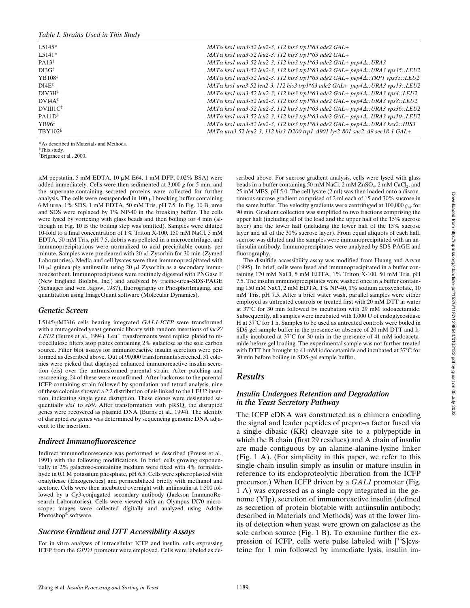| $1.5145*$             | $MAT\alpha$ kss1 ura3-52 leu2-3, 112 his3 trp1 $\sim$ 63 ade2 GAL+                                          |
|-----------------------|-------------------------------------------------------------------------------------------------------------|
| $L5141*$              | $MAT\alpha$ kss1 ura3-52 leu2-3, 112 his3 trp1^63 ade2 GAL+                                                 |
| $PA13^{\ddagger}$     | $MAT\alpha$ kss1 ura3-52 leu2-3, 112 his3 trp1^63 ade2 GAL+ pep4 $\Delta$ ::URA3                            |
| DI3G <sup>‡</sup>     | $MAT\alpha$ kss1 ura3-52 leu2-3, 112 his3 trp1 $\triangle$ 63 ade2 GAL+ pep4 $\triangle$ ::URA3 vps35::LEU2 |
| $YB108^{\ddagger}$    | $MAT\alpha$ kss1 ura3-52 leu2-3, 112 his3 trp1 $\sim$ 63 ade2 GAL+ pep4 $\Delta$ ::TRP1 vps35::LEU2         |
| $DI4E^{\ddagger}$     | $MAT\alpha$ kss1 ura3-52 leu2-3, 112 his3 trp1 $\triangle$ 63 ade2 GAL+ pep4 $\triangle$ ::URA3 vps13::LEU2 |
| DIV3H <sup>‡</sup>    | $MAT\alpha$ kss1 ura3-52 leu2-3, 112 his3 trp1 $\sim$ 63 ade2 GAL+ pep4 $\Delta$ ::URA3 vps4::LEU2          |
| $DYIAA^{\ddagger}$    | $MAT\alpha$ kss1 ura3-52 leu2-3, 112 his3 trp1 $\sim$ 63 ade2 GAL+ pep4 $\Delta$ ::URA3 vps8::LEU2          |
| $DVIIIIC^{\ddagger}$  | $MAT\alpha$ kss1 ura3-52 leu2-3, 112 his3 trp1^63 ade2 GAL+ pep4 $\Delta$ ::URA3 vps36::LEU2                |
| PA11D <sup>‡</sup>    | $MAT\alpha$ kss1 ura3-52 leu2-3, 112 his3 trp1^63 ade2 GAL+ pep4 $\Delta$ ::URA3 vps10::LEU2                |
| $YB96^{\ddagger}$     | $MAT\alpha$ kss1 ura3-52 leu2-3, 112 his3 trp1 $\sim$ 63 ade2 GAL+ pep4 $\Delta$ ::URA3 kex2::HIS3          |
| $TRY102$ <sup>§</sup> | MAT <sub>Q</sub> ura3-52 leu2-3, 112 his3-D200 trp1- $\Delta$ 901 lys2-801 suc2- $\Delta$ 9 sec18-1 GAL+    |

\*As described in Materials and Methods.

‡ This study.

§ Brigance et al., 2000.

 $\mu$ M pepstatin, 5 mM EDTA, 10  $\mu$ M E64, 1 mM DFP, 0.02% BSA) were added immediately. Cells were then sedimented at 3,000 *g* for 5 min, and the supernate-containing secreted proteins were collected for further analysis. The cells were resuspended in  $100 \mu l$  breaking buffer containing 6 M urea, 1% SDS, 1 mM EDTA, 50 mM Tris, pH 7.5. In Fig. 10 B, urea and SDS were replaced by 1% NP-40 in the breaking buffer. The cells were lysed by vortexing with glass beads and then boiling for 4 min (although in Fig. 10 B the boiling step was omitted). Samples were diluted 10-fold to a final concentration of 1% Triton X-100, 150 mM NaCl, 5 mM EDTA, 50 mM Tris, pH 7.5, debris was pelleted in a microcentrifuge, and immunoprecipitations were normalized to acid precipitable counts per minute. Samples were precleared with 20  $\mu$ l Zysorbin for 30 min (Zymed Laboratories). Media and cell lysates were then immunoprecipitated with 10  $\mu$ l guinea pig antiinsulin using 20  $\mu$ l Zysorbin as a secondary immunoadsorbent. Immunoprecipitates were routinely digested with PNGase F (New England Biolabs, Inc.) and analyzed by tricine-urea–SDS-PAGE (Schagger and von Jagow, 1987), fluorography or PhosphorImaging, and quantitation using ImageQuant software (Molecular Dynamics).

#### *Genetic Screen*

L5145/pMI316 cells bearing integrated *GAL1-ICFP* were transformed with a mutagenized yeast genomic library with random insertions of *lacZ/*  $LEU2$  (Burns et al., 1994). Leu<sup>+</sup> transformants were replica plated to nitrocellulose filters atop plates containing 2% galactose as the sole carbon source. Filter blot assays for immunoreactive insulin secretion were performed as described above. Out of 90,000 transformants screened, 31 colonies were picked that displayed enhanced immunoreactive insulin secretion (eis) over the untransformed parental strain. After patching and rescreening, 24 of these were reconfirmed. After backcross to the parental ICFP-containing strain followed by sporulation and tetrad analysis, nine of these colonies showed a 2:2 distribution of eis linked to the LEU2 insertion, indicating single gene disruption. These clones were designated sequentially *eis1* to *eis9*. After transformation with pRSQ, the disrupted genes were recovered as plasmid DNA (Burns et al., 1994). The identity of disrupted *eis* genes was determined by sequencing genomic DNA adjacent to the insertion.

#### *Indirect Immunofluorescence*

Indirect immunofluorescence was performed as described (Preuss et al., 1991) with the following modifications. In brief, cells growing exponentially in 2% galactose-containing medium were fixed with 4% formaldehyde in 0.1 M potassium phosphate, pH 6.5. Cells were spheroplasted with oxalyticase (Enzogenetics) and permeabilized briefly with methanol and acetone. Cells were then incubated overnight with antiinsulin at 1:500 followed by a Cy3-conjugated secondary antibody (Jackson ImmunoResearch Laboratories). Cells were viewed with an Olympus IX70 microscope; images were collected digitally and analyzed using Adobe Photoshop® software.

# *Sucrose Gradient and DTT Accessibility Assays*

For in vitro analyses of intracellular ICFP and insulin, cells expressing ICFP from the *GPD1* promoter were employed. Cells were labeled as described above. For sucrose gradient analysis, cells were lysed with glass beads in a buffer containing 50 mM NaCl,  $2 \text{ mM ZnSO}_4$ ,  $2 \text{ mM CaCl}_2$ , and 25 mM MES, pH 5.0. The cell lysate (2 ml) was then loaded onto a discontinuous sucrose gradient comprised of 2 ml each of 15 and 30% sucrose in the same buffer. The velocity gradients were centrifuged at  $100,000 g_{av}$  for 90 min. Gradient collection was simplified to two fractions comprising the upper half (including all of the load and the upper half of the 15% sucrose layer) and the lower half (including the lower half of the 15% sucrose layer and all of the 30% sucrose layer). From equal aliquots of each half, sucrose was diluted and the samples were immunoprecipitated with an antiinsulin antibody. Immunoprecipitates were analyzed by SDS-PAGE and fluorography.

The disulfide accessibility assay was modified from Huang and Arvan (1995). In brief, cells were lysed and immunoprecipitated in a buffer containing 170 mM NaCl, 5 mM EDTA, 1% Triton X-100, 50 mM Tris, pH 7.5. The insulin immunoprecipitates were washed once in a buffer containing 150 mM NaCl, 2 mM EDTA, 1% NP-40, 1% sodium deoxycholate, 10 mM Tris, pH 7.5. After a brief water wash, parallel samples were either employed as untreated controls or treated first with 20 mM DTT in water at 37C for 30 min followed by incubation with 29 mM iodoacetamide. Subsequently, all samples were incubated with 1,000 U of endoglycosidase H at 37C for 1 h. Samples to be used as untreated controls were boiled in SDS-gel sample buffer in the presence or absence of 20 mM DTT and finally incubated at 37°C for 30 min in the presence of 41 mM iodoacetamide before gel loading. The experimental sample was not further treated with DTT but brought to 41 mM iodoacetamide and incubated at 37°C for 30 min before boiling in SDS-gel sample buffer.

# *Results*

#### *Insulin Undergoes Retention and Degradation in the Yeast Secretory Pathway*

The ICFP cDNA was constructed as a chimera encoding the signal and leader peptides of prepro- $\alpha$  factor fused via a single dibasic (KR) cleavage site to a polypeptide in which the B chain (first 29 residues) and A chain of insulin are made contiguous by an alanine-alanine-lysine linker (Fig. 1 A). (For simplicity in this paper, we refer to this single chain insulin simply as insulin or mature insulin in reference to its endoproteolytic liberation from the ICFP precursor.) When ICFP driven by a *GAL1* promoter (Fig. 1 A) was expressed as a single copy integrated in the genome (YIp), secretion of immunoreactive insulin (defined as secretion of protein blotable with antiinsulin antibody; described in Materials and Methods) was at the lower limits of detection when yeast were grown on galactose as the sole carbon source (Fig. 1 B). To examine further the expression of ICFP, cells were pulse labeled with  $[35S]$ cysteine for 1 min followed by immediate lysis, insulin im-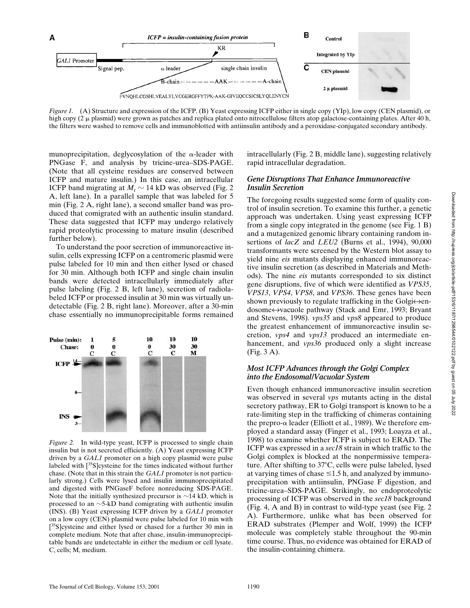

*Figure 1.* (A) Structure and expression of the ICFP. (B) Yeast expressing ICFP either in single copy (YIp), low copy (CEN plasmid), or high copy ( $2 \mu$  plasmid) were grown as patches and replica plated onto nitrocellulose filters atop galactose-containing plates. After 40 h, the filters were washed to remove cells and immunoblotted with antiinsulin antibody and a peroxidase-conjugated secondary antibody.

munoprecipitation, deglycosylation of the  $\alpha$ -leader with PNGase F, and analysis by tricine-urea–SDS-PAGE. (Note that all cysteine residues are conserved between ICFP and mature insulin.) In this case, an intracellular ICFP band migrating at  $M_r \sim 14$  kD was observed (Fig. 2) A, left lane). In a parallel sample that was labeled for 5 min (Fig. 2 A, right lane), a second smaller band was produced that comigrated with an authentic insulin standard. These data suggested that ICFP may undergo relatively rapid proteolytic processing to mature insulin (described further below).

To understand the poor secretion of immunoreactive insulin, cells expressing ICFP on a centromeric plasmid were pulse labeled for 10 min and then either lysed or chased for 30 min. Although both ICFP and single chain insulin bands were detected intracellularly immediately after pulse labeling (Fig. 2 B, left lane), secretion of radiolabeled ICFP or processed insulin at 30 min was virtually undetectable (Fig. 2 B, right lane). Moreover, after a 30-min chase essentially no immunoprecipitable forms remained

![](_page_3_Figure_4.jpeg)

*Figure 2.* In wild-type yeast, ICFP is processed to single chain insulin but is not secreted efficiently. (A) Yeast expressing ICFP driven by a *GAL1* promoter on a high copy plasmid were pulse labeled with [35S]cysteine for the times indicated without further chase. (Note that in this strain the *GAL1* promoter is not particularly strong.) Cells were lysed and insulin immunoprecipitated and digested with PNGaseF before nonreducing SDS-PAGE. Note that the initially synthesized precursor is  $\sim$ 14 kD, which is processed to an  $\sim$ 5-kD band comigrating with authentic insulin (INS). (B) Yeast expressing ICFP driven by a *GAL1* promoter on a low copy (CEN) plasmid were pulse labeled for 10 min with [<sup>35</sup>S]cysteine and either lysed or chased for a further 30 min in complete medium. Note that after chase, insulin-immunoprecipitable bands are undetectable in either the medium or cell lysate. C, cells; M, medium.

intracellularly (Fig. 2 B, middle lane), suggesting relatively rapid intracellular degradation.

#### *Gene Disruptions That Enhance Immunoreactive Insulin Secretion*

The foregoing results suggested some form of quality control of insulin secretion. To examine this further, a genetic approach was undertaken. Using yeast expressing ICFP from a single copy integrated in the genome (see Fig. 1 B) and a mutagenized genomic library containing random insertions of *lacZ* and *LEU2* (Burns et al., 1994), 90,000 transformants were screened by the Western blot assay to yield nine *eis* mutants displaying enhanced immunoreactive insulin secretion (as described in Materials and Methods). The nine *eis* mutants corresponded to six distinct gene disruptions, five of which were identified as *VPS35*, *VPS13*, *VPS4*, *VPS8*, and *VPS36*. These genes have been shown previously to regulate trafficking in the Golgi⇔endosome↔vacuole pathway (Stack and Emr, 1993; Bryant and Stevens, 1998). *vps35* and *vps8* appeared to produce the greatest enhancement of immunoreactive insulin secretion, *vps4* and *vps13* produced an intermediate enhancement, and *vps36* produced only a slight increase (Fig. 3 A).

#### *Most ICFP Advances through the Golgi Complex into the Endosomal/Vacuolar System*

Even though enhanced immunoreactive insulin secretion was observed in several *vps* mutants acting in the distal secretory pathway, ER to Golgi transport is known to be a rate-limiting step in the trafficking of chimeras containing the prepro- $\alpha$  leader (Elliott et al., 1989). We therefore employed a standard assay (Finger et al., 1993; Loayza et al., 1998) to examine whether ICFP is subject to ERAD. The ICFP was expressed in a *sec18* strain in which traffic to the Golgi complex is blocked at the nonpermissive temperature. After shifting to 37°C, cells were pulse labeled, lysed at varying times of chase  $\leq 1.5$  h, and analyzed by immunoprecipitation with antiinsulin, PNGase F digestion, and tricine-urea–SDS-PAGE. Strikingly, no endoproteolytic processing of ICFP was observed in the *sec18* background (Fig. 4, A and B) in contrast to wild-type yeast (see Fig. 2 A). Furthermore, unlike what has been observed for ERAD substrates (Plemper and Wolf, 1999) the ICFP molecule was completely stable throughout the 90-min time course. Thus, no evidence was obtained for ERAD of the insulin-containing chimera.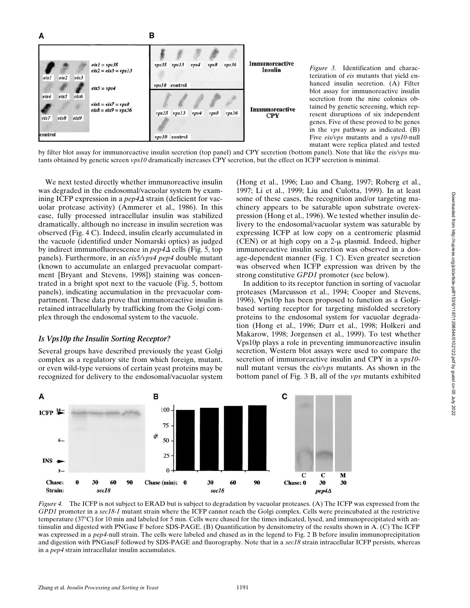![](_page_4_Figure_0.jpeg)

*Figure 3.* Identification and characterization of *eis* mutants that yield enhanced insulin secretion. (A) Filter blot assay for immunoreactive insulin secretion from the nine colonies obtained by genetic screening, which represent disruptions of six independent genes. Five of these proved to be genes in the *vps* pathway as indicated. (B) Five *eis/vps* mutants and a *vps10*-null mutant were replica plated and tested

by filter blot assay for immunoreactive insulin secretion (top panel) and CPY secretion (bottom panel). Note that like the *eis/vps* mutants obtained by genetic screen *vps10* dramatically increases CPY secretion, but the effect on ICFP secretion is minimal.

We next tested directly whether immunoreactive insulin was degraded in the endosomal/vacuolar system by examining ICFP expression in a  $pep4\Delta$  strain (deficient for vacuolar protease activity) (Ammerer et al., 1986). In this case, fully processed intracellular insulin was stabilized dramatically, although no increase in insulin secretion was observed (Fig. 4 C). Indeed, insulin clearly accumulated in the vacuole (identified under Nomarski optics) as judged by indirect immunofluorescence in  $pep4\Delta$  cells (Fig. 5, top panels). Furthermore, in an *eis5/vps4 pep4* double mutant (known to accumulate an enlarged prevacuolar compartment [Bryant and Stevens, 1998]) staining was concentrated in a bright spot next to the vacuole (Fig. 5, bottom panels), indicating accumulation in the prevacuolar compartment. These data prove that immunoreactive insulin is retained intracellularly by trafficking from the Golgi complex through the endosomal system to the vacuole.

#### *Is Vps10p the Insulin Sorting Receptor?*

Several groups have described previously the yeast Golgi complex as a regulatory site from which foreign, mutant, or even wild-type versions of certain yeast proteins may be recognized for delivery to the endosomal/vacuolar system (Hong et al., 1996; Luo and Chang, 1997; Roberg et al., 1997; Li et al., 1999; Liu and Culotta, 1999). In at least some of these cases, the recognition and/or targeting machinery appears to be saturable upon substrate overexpression (Hong et al., 1996). We tested whether insulin delivery to the endosomal/vacuolar system was saturable by expressing ICFP at low copy on a centromeric plasmid (CEN) or at high copy on a  $2-\mu$  plasmid. Indeed, higher immunoreactive insulin secretion was observed in a dosage-dependent manner (Fig. 1 C). Even greater secretion was observed when ICFP expression was driven by the strong constitutive *GPD1* promoter (see below).

In addition to its receptor function in sorting of vacuolar proteases (Marcusson et al., 1994; Cooper and Stevens, 1996), Vps10p has been proposed to function as a Golgibased sorting receptor for targeting misfolded secretory proteins to the endosomal system for vacuolar degradation (Hong et al., 1996; Durr et al., 1998; Holkeri and Makarow, 1998; Jorgensen et al., 1999). To test whether Vps10p plays a role in preventing immunoreactive insulin secretion, Western blot assays were used to compare the secretion of immunoreactive insulin and CPY in a *vps10* null mutant versus the *eis/vps* mutants. As shown in the bottom panel of Fig. 3 B, all of the *vps* mutants exhibited

![](_page_4_Figure_8.jpeg)

*Figure 4.* The ICFP is not subject to ERAD but is subject to degradation by vacuolar proteases. (A) The ICFP was expressed from the *GPD1* promoter in a *sec18-1* mutant strain where the ICFP cannot reach the Golgi complex. Cells were preincubated at the restrictive temperature (37°C) for 10 min and labeled for 5 min. Cells were chased for the times indicated, lysed, and immunoprecipitated with antiinsulin and digested with PNGase F before SDS-PAGE. (B) Quantification by densitometry of the results shown in A. (C) The ICFP was expressed in a *pep4*-null strain. The cells were labeled and chased as in the legend to Fig. 2 B before insulin immunoprecipitation and digestion with PNGaseF followed by SDS-PAGE and fluorography. Note that in a *sec18* strain intracellular ICFP persists, whereas in a *pep4* strain intracellular insulin accumulates.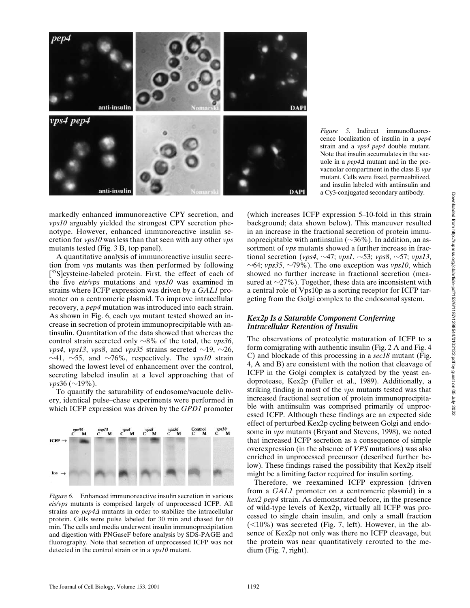Downloaded from http://rupress.org/jcb/article-pdf/153/6/1187/1298544/0102122.pdf by guest on 05 July 2022

Downloaded from http://rupress.org/jcb/article-pdf/153/6/1187/1298544/0102122.pdf by guest on 05 July 2022

![](_page_5_Figure_1.jpeg)

strain and a *vps4 pep4* double mutant. Note that insulin accumulates in the vacuole in a  $pep4\Delta$  mutant and in the prevacuolar compartment in the class E *vps* mutant. Cells were fixed, permeabilized, and insulin labeled with antiinsulin and a Cy3-conjugated secondary antibody.

markedly enhanced immunoreactive CPY secretion, and *vps10* arguably yielded the strongest CPY secretion phenotype. However, enhanced immunoreactive insulin secretion for *vps10* was less than that seen with any other *vps* mutants tested (Fig. 3 B, top panel).

A quantitative analysis of immunoreactive insulin secretion from *vps* mutants was then performed by following [<sup>35</sup>S]cysteine-labeled protein. First, the effect of each of the five *eis/vps* mutations and *vps10* was examined in strains where ICFP expression was driven by a *GAL1* promoter on a centromeric plasmid. To improve intracellular recovery, a *pep4* mutation was introduced into each strain. As shown in Fig. 6, each *vps* mutant tested showed an increase in secretion of protein immunoprecipitable with antinsulin. Quantitation of the data showed that whereas the control strain secreted only  $\sim 8\%$  of the total, the *vps36*, *vps4*, *vps13*, *vps8*, and *vps35* strains secreted  $\sim$ 19,  $\sim$ 26,  $\sim$ 41,  $\sim$ 55, and  $\sim$ 76%, respectively. The *vps10* strain showed the lowest level of enhancement over the control, secreting labeled insulin at a level approaching that of *vps*36 (-19%).

To quantify the saturability of endosome/vacuole delivery, identical pulse–chase experiments were performed in which ICFP expression was driven by the *GPD1* promoter

![](_page_5_Figure_6.jpeg)

*Figure 6.* Enhanced immunoreactive insulin secretion in various *eis/vps* mutants is comprised largely of unprocessed ICFP. All strains are  $pep4\Delta$  mutants in order to stabilize the intracellular protein. Cells were pulse labeled for 30 min and chased for 60 min. The cells and media underwent insulin immunoprecipitation and digestion with PNGaseF before analysis by SDS-PAGE and fluorography. Note that secretion of unprocessed ICFP was not detected in the control strain or in a *vps10* mutant.

(which increases ICFP expression 5–10-fold in this strain background; data shown below). This maneuver resulted in an increase in the fractional secretion of protein immunoprecipitable with antiinsulin ( $\sim$ 36%). In addition, an assortment of *vps* mutants showed a further increase in fractional secretion (*vps4*,  $\sim$ 47; *vps1*,  $\sim$ 53; *vps8*,  $\sim$ 57; *vps13*,  $\sim$  64; *vps35*,  $\sim$  79%). The one exception was *vps10*, which showed no further increase in fractional secretion (measured at  $\sim$ 27%). Together, these data are inconsistent with a central role of Vps10p as a sorting receptor for ICFP targeting from the Golgi complex to the endosomal system.

#### *Kex2p Is a Saturable Component Conferring Intracellular Retention of Insulin*

The observations of proteolytic maturation of ICFP to a form comigrating with authentic insulin (Fig. 2 A and Fig. 4 C) and blockade of this processing in a *sec18* mutant (Fig. 4, A and B) are consistent with the notion that cleavage of ICFP in the Golgi complex is catalyzed by the yeast endoprotease, Kex2p (Fuller et al., 1989). Additionally, a striking finding in most of the *vps* mutants tested was that increased fractional secretion of protein immunoprecipitable with antiinsulin was comprised primarily of unprocessed ICFP. Although these findings are an expected side effect of perturbed Kex2p cycling between Golgi and endosome in *vps* mutants (Bryant and Stevens, 1998), we noted that increased ICFP secretion as a consequence of simple overexpression (in the absence of *VPS* mutations) was also enriched in unprocessed precursor (described further below). These findings raised the possibility that Kex2p itself might be a limiting factor required for insulin sorting.

Therefore, we reexamined ICFP expression (driven from a *GAL1* promoter on a centromeric plasmid) in a *kex2 pep4* strain. As demonstrated before, in the presence of wild-type levels of Kex2p, virtually all ICFP was processed to single chain insulin, and only a small fraction  $(<10\%)$  was secreted (Fig. 7, left). However, in the absence of Kex2p not only was there no ICFP cleavage, but the protein was near quantitatively rerouted to the medium (Fig. 7, right).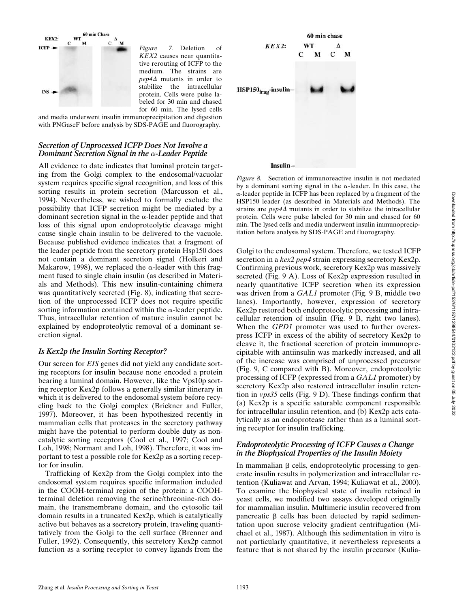![](_page_6_Picture_0.jpeg)

*Figure 7.* Deletion of *KEX2* causes near quantitative rerouting of ICFP to the medium. The strains are  $pep4\Delta$  mutants in order to stabilize the intracellular protein. Cells were pulse labeled for 30 min and chased for 60 min. The lysed cells

and media underwent insulin immunoprecipitation and digestion with PNGaseF before analysis by SDS-PAGE and fluorography.

#### *Secretion of Unprocessed ICFP Does Not Involve a*  **Dominant Secretion Signal in the α-Leader Peptide**

All evidence to date indicates that luminal protein targeting from the Golgi complex to the endosomal/vacuolar system requires specific signal recognition, and loss of this sorting results in protein secretion (Marcusson et al., 1994). Nevertheless, we wished to formally exclude the possibility that ICFP secretion might be mediated by a dominant secretion signal in the  $\alpha$ -leader peptide and that loss of this signal upon endoproteolytic cleavage might cause single chain insulin to be delivered to the vacuole. Because published evidence indicates that a fragment of the leader peptide from the secretory protein Hsp150 does not contain a dominant secretion signal (Holkeri and Makarow, 1998), we replaced the  $\alpha$ -leader with this fragment fused to single chain insulin (as described in Materials and Methods). This new insulin-containing chimera was quantitatively secreted (Fig. 8), indicating that secretion of the unprocessed ICFP does not require specific sorting information contained within the  $\alpha$ -leader peptide. Thus, intracellular retention of mature insulin cannot be explained by endoproteolytic removal of a dominant secretion signal.

#### *Is Kex2p the Insulin Sorting Receptor?*

Our screen for *EIS* genes did not yield any candidate sorting receptors for insulin because none encoded a protein bearing a luminal domain. However, like the Vps10p sorting receptor Kex2p follows a generally similar itinerary in which it is delivered to the endosomal system before recycling back to the Golgi complex (Brickner and Fuller, 1997). Moreover, it has been hypothesized recently in mammalian cells that proteases in the secretory pathway might have the potential to perform double duty as noncatalytic sorting receptors (Cool et al., 1997; Cool and Loh, 1998; Normant and Loh, 1998). Therefore, it was important to test a possible role for Kex2p as a sorting receptor for insulin.

Trafficking of Kex2p from the Golgi complex into the endosomal system requires specific information included in the COOH-terminal region of the protein: a COOHterminal deletion removing the serine/threonine-rich domain, the transmembrane domain, and the cytosolic tail domain results in a truncated Kex2p, which is catalytically active but behaves as a secretory protein, traveling quantitatively from the Golgi to the cell surface (Brenner and Fuller, 1992). Consequently, this secretory Kex2p cannot function as a sorting receptor to convey ligands from the

![](_page_6_Figure_8.jpeg)

*Figure 8.* Secretion of immunoreactive insulin is not mediated by a dominant sorting signal in the  $\alpha$ -leader. In this case, the --leader peptide in ICFP has been replaced by a fragment of the HSP150 leader (as described in Materials and Methods). The strains are  $pep4\Delta$  mutants in order to stabilize the intracellular protein. Cells were pulse labeled for 30 min and chased for 60 min. The lysed cells and media underwent insulin immunoprecipitation before analysis by SDS-PAGE and fluorography.

Golgi to the endosomal system. Therefore, we tested ICFP secretion in a *kex2 pep4* strain expressing secretory Kex2p. Confirming previous work, secretory Kex2p was massively secreted (Fig. 9 A). Loss of Kex2p expression resulted in nearly quantitative ICFP secretion when its expression was driven from a *GAL1* promoter (Fig. 9 B, middle two lanes). Importantly, however, expression of secretory Kex2p restored both endoproteolytic processing and intracellular retention of insulin (Fig. 9 B, right two lanes). When the *GPD1* promoter was used to further overexpress ICFP in excess of the ability of secretory Kex2p to cleave it, the fractional secretion of protein immunoprecipitable with antiinsulin was markedly increased, and all of the increase was comprised of unprocessed precursor (Fig. 9, C compared with B). Moreover, endoproteolytic processing of ICFP (expressed from a *GAL1* promoter) by secretory Kex2p also restored intracellular insulin retention in *vps35* cells (Fig. 9 D). These findings confirm that (a) Kex2p is a specific saturable component responsible for intracellular insulin retention, and (b) Kex2p acts catalytically as an endoprotease rather than as a luminal sorting receptor for insulin trafficking.

#### *Endoproteolytic Processing of ICFP Causes a Change in the Biophysical Properties of the Insulin Moiety*

In mammalian  $\beta$  cells, endoproteolytic processing to generate insulin results in polymerization and intracellular retention (Kuliawat and Arvan, 1994; Kuliawat et al., 2000). To examine the biophysical state of insulin retained in yeast cells, we modified two assays developed originally for mammalian insulin. Multimeric insulin recovered from pancreatic  $\beta$  cells has been detected by rapid sedimentation upon sucrose velocity gradient centrifugation (Michael et al., 1987). Although this sedimentation in vitro is not particularly quantitative, it nevertheless represents a feature that is not shared by the insulin precursor (Kulia-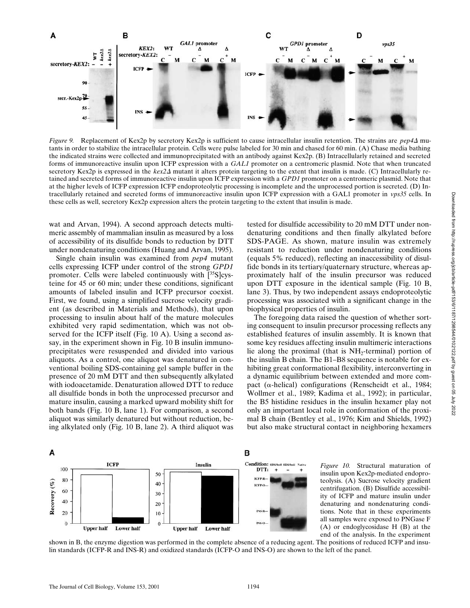![](_page_7_Figure_1.jpeg)

*Figure 9.* Replacement of Kex2p by secretory Kex2p is sufficient to cause intracellular insulin retention. The strains are  $pep4\Delta$  mutants in order to stabilize the intracellular protein. Cells were pulse labeled for 30 min and chased for 60 min. (A) Chase media bathing the indicated strains were collected and immunoprecipitated with an antibody against Kex2p. (B) Intracellularly retained and secreted forms of immunoreactive insulin upon ICFP expression with a *GAL1* promoter on a centromeric plasmid. Note that when truncated secretory Kex2p is expressed in the  $kex2\Delta$  mutant it alters protein targeting to the extent that insulin is made. (C) Intracellularly retained and secreted forms of immunoreactive insulin upon ICFP expression with a *GPD1* promoter on a centromeric plasmid. Note that at the higher levels of ICFP expression ICFP endoproteolytic processing is incomplete and the unprocessed portion is secreted. (D) Intracellularly retained and secreted forms of immunoreactive insulin upon ICFP expression with a GAL1 promoter in *vps35* cells. In these cells as well, secretory Kex2p expression alters the protein targeting to the extent that insulin is made.

wat and Arvan, 1994). A second approach detects multimeric assembly of mammalian insulin as measured by a loss of accessibility of its disulfide bonds to reduction by DTT under nondenaturing conditions (Huang and Arvan, 1995).

Single chain insulin was examined from *pep4* mutant cells expressing ICFP under control of the strong *GPD1* promoter. Cells were labeled continuously with  $[35S]$ cysteine for 45 or 60 min; under these conditions, significant amounts of labeled insulin and ICFP precursor coexist. First, we found, using a simplified sucrose velocity gradient (as described in Materials and Methods), that upon processing to insulin about half of the mature molecules exhibited very rapid sedimentation, which was not observed for the ICFP itself (Fig. 10 A). Using a second assay, in the experiment shown in Fig. 10 B insulin immunoprecipitates were resuspended and divided into various aliquots. As a control, one aliquot was denatured in conventional boiling SDS-containing gel sample buffer in the presence of 20 mM DTT and then subsequently alkylated with iodoacetamide. Denaturation allowed DTT to reduce all disulfide bonds in both the unprocessed precursor and mature insulin, causing a marked upward mobility shift for both bands (Fig. 10 B, lane 1). For comparison, a second aliquot was similarly denatured but without reduction, being alkylated only (Fig. 10 B, lane 2). A third aliquot was tested for disulfide accessibility to 20 mM DTT under nondenaturing conditions and then finally alkylated before SDS-PAGE. As shown, mature insulin was extremely resistant to reduction under nondenaturing conditions (equals 5% reduced), reflecting an inaccessibility of disulfide bonds in its tertiary/quaternary structure, whereas approximately half of the insulin precursor was reduced upon DTT exposure in the identical sample (Fig. 10 B, lane 3). Thus, by two independent assays endoproteolytic processing was associated with a significant change in the biophysical properties of insulin.

The foregoing data raised the question of whether sorting consequent to insulin precursor processing reflects any established features of insulin assembly. It is known that some key residues affecting insulin multimeric interactions lie along the proximal (that is  $NH<sub>2</sub>$ -terminal) portion of the insulin B chain. The B1–B8 sequence is notable for exhibiting great conformational flexibility, interconverting in a dynamic equilibrium between extended and more compact ( $\alpha$ -helical) configurations (Renscheidt et al., 1984; Wollmer et al., 1989; Kadima et al., 1992); in particular, the B5 histidine residues in the insulin hexamer play not only an important local role in conformation of the proximal B chain (Bentley et al., 1976; Kim and Shields, 1992) but also make structural contact in neighboring hexamers

![](_page_7_Figure_7.jpeg)

*Figure 10.* Structural maturation of insulin upon Kex2p-mediated endoproteolysis. (A) Sucrose velocity gradient centrifugation. (B) Disulfide accessibility of ICFP and mature insulin under denaturing and nondenaturing conditions. Note that in these experiments all samples were exposed to PNGase F (A) or endoglycosidase H (B) at the end of the analysis. In the experiment

shown in B, the enzyme digestion was performed in the complete absence of a reducing agent. The positions of reduced ICFP and insulin standards (ICFP-R and INS-R) and oxidized standards (ICFP-O and INS-O) are shown to the left of the panel.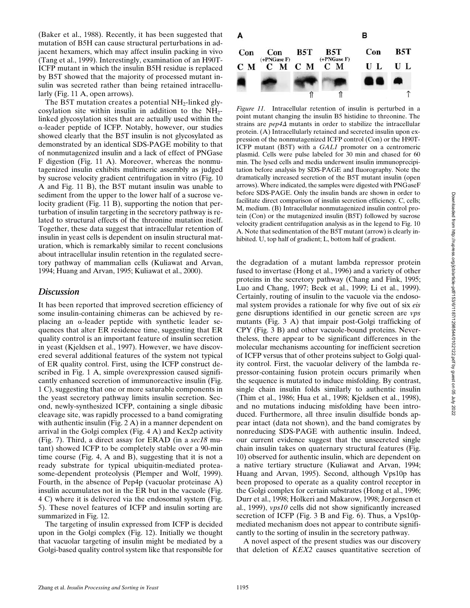(Baker et al., 1988). Recently, it has been suggested that mutation of B5H can cause structural perturbations in adjacent hexamers, which may affect insulin packing in vivo (Tang et al., 1999). Interestingly, examination of an H90T-ICFP mutant in which the insulin B5H residue is replaced by B5T showed that the majority of processed mutant insulin was secreted rather than being retained intracellularly (Fig. 11 A, open arrows).

The B5T mutation creates a potential  $NH<sub>2</sub>$ -linked glycosylation site within insulin in addition to the  $NH_2$ linked glycosylation sites that are actually used within the --leader peptide of ICFP. Notably, however, our studies showed clearly that the B5T insulin is not glycosylated as demonstrated by an identical SDS-PAGE mobility to that of nonmutagenized insulin and a lack of effect of PNGase F digestion (Fig. 11 A). Moreover, whereas the nonmutagenized insulin exhibits multimeric assembly as judged by sucrose velocity gradient centrifugation in vitro (Fig. 10 A and Fig. 11 B), the B5T mutant insulin was unable to sediment from the upper to the lower half of a sucrose velocity gradient (Fig. 11 B), supporting the notion that perturbation of insulin targeting in the secretory pathway is related to structural effects of the threonine mutation itself. Together, these data suggest that intracellular retention of insulin in yeast cells is dependent on insulin structural maturation, which is remarkably similar to recent conclusions about intracellular insulin retention in the regulated secretory pathway of mammalian cells (Kuliawat and Arvan, 1994; Huang and Arvan, 1995; Kuliawat et al., 2000).

#### *Discussion*

It has been reported that improved secretion efficiency of some insulin-containing chimeras can be achieved by replacing an  $\alpha$ -leader peptide with synthetic leader sequences that alter ER residence time, suggesting that ER quality control is an important feature of insulin secretion in yeast (Kjeldsen et al., 1997). However, we have discovered several additional features of the system not typical of ER quality control. First, using the ICFP construct described in Fig. 1 A, simple overexpression caused significantly enhanced secretion of immunoreactive insulin (Fig. 1 C), suggesting that one or more saturable components in the yeast secretory pathway limits insulin secretion. Second, newly-synthesized ICFP, containing a single dibasic cleavage site, was rapidly processed to a band comigrating with authentic insulin (Fig. 2 A) in a manner dependent on arrival in the Golgi complex (Fig. 4 A) and Kex2p activity (Fig. 7). Third, a direct assay for ERAD (in a *sec18* mutant) showed ICFP to be completely stable over a 90-min time course (Fig. 4, A and B), suggesting that it is not a ready substrate for typical ubiquitin-mediated proteasome-dependent proteolysis (Plemper and Wolf, 1999). Fourth, in the absence of Pep4p (vacuolar proteinase A) insulin accumulates not in the ER but in the vacuole (Fig. 4 C) where it is delivered via the endosomal system (Fig. 5). These novel features of ICFP and insulin sorting are summarized in Fig. 12.

The targeting of insulin expressed from ICFP is decided upon in the Golgi complex (Fig. 12). Initially we thought that vacuolar targeting of insulin might be mediated by a Golgi-based quality control system like that responsible for

![](_page_8_Figure_5.jpeg)

*Figure 11.* Intracellular retention of insulin is perturbed in a point mutant changing the insulin B5 histidine to threonine. The strains are  $pep4\Delta$  mutants in order to stabilize the intracellular protein. (A) Intracellularly retained and secreted insulin upon expression of the nonmutagenized ICFP control (Con) or the H90T-ICFP mutant (B5T) with a *GAL1* promoter on a centromeric plasmid. Cells were pulse labeled for 30 min and chased for 60 min. The lysed cells and media underwent insulin immunoprecipitation before analysis by SDS-PAGE and fluorography. Note the dramatically increased secretion of the B5T mutant insulin (open arrows). Where indicated, the samples were digested with PNGaseF before SDS-PAGE. Only the insulin bands are shown in order to facilitate direct comparison of insulin secretion efficiency. C, cells; M, medium. (B) Intracellular nonmutagenized insulin control protein (Con) or the mutagenized insulin (B5T) followed by sucrose velocity gradient centrifugation analysis as in the legend to Fig. 10 A. Note that sedimentation of the B5T mutant (arrow) is clearly inhibited. U, top half of gradient; L, bottom half of gradient.

the degradation of a mutant lambda repressor protein fused to invertase (Hong et al., 1996) and a variety of other proteins in the secretory pathway (Chang and Fink, 1995; Luo and Chang, 1997; Beck et al., 1999; Li et al., 1999). Certainly, routing of insulin to the vacuole via the endosomal system provides a rationale for why five out of six *eis* gene disruptions identified in our genetic screen are *vps* mutants (Fig. 3 A) that impair post-Golgi trafficking of CPY (Fig. 3 B) and other vacuole-bound proteins. Nevertheless, there appear to be significant differences in the molecular mechanisms accounting for inefficient secretion of ICFP versus that of other proteins subject to Golgi quality control. First, the vacuolar delivery of the lambda repressor-containing fusion protein occurs primarily when the sequence is mutated to induce misfolding. By contrast, single chain insulin folds similarly to authentic insulin (Thim et al., 1986; Hua et al., 1998; Kjeldsen et al., 1998), and no mutations inducing misfolding have been introduced. Furthermore, all three insulin disulfide bonds appear intact (data not shown), and the band comigrates by nonreducing SDS-PAGE with authentic insulin. Indeed, our current evidence suggest that the unsecreted single chain insulin takes on quaternary structural features (Fig. 10) observed for authentic insulin, which are dependent on a native tertiary structure (Kuliawat and Arvan, 1994; Huang and Arvan, 1995). Second, although Vps10p has been proposed to operate as a quality control receptor in the Golgi complex for certain substrates (Hong et al., 1996; Durr et al., 1998; Holkeri and Makarow, 1998; Jorgensen et al., 1999), *vps10* cells did not show significantly increased secretion of ICFP (Fig. 3 B and Fig. 6). Thus, a Vps10pmediated mechanism does not appear to contribute significantly to the sorting of insulin in the secretory pathway.

A novel aspect of the present studies was our discovery that deletion of *KEX2* causes quantitative secretion of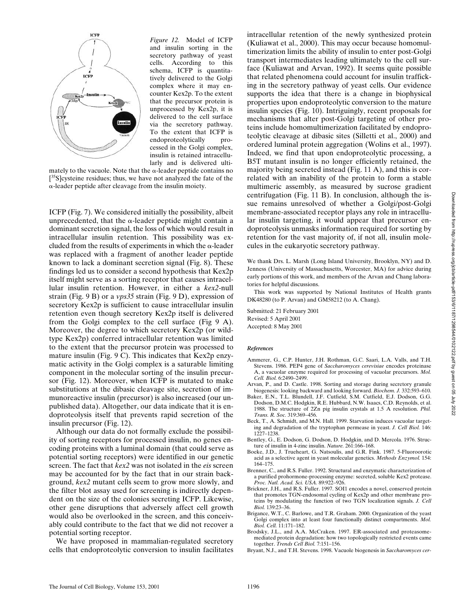![](_page_9_Figure_1.jpeg)

*Figure 12.* Model of ICFP and insulin sorting in the secretory pathway of yeast cells. According to this schema, ICFP is quantitatively delivered to the Golgi complex where it may encounter Kex2p. To the extent that the precursor protein is unprocessed by Kex2p, it is delivered to the cell surface via the secretory pathway. To the extent that ICFP is endoproteolytically processed in the Golgi complex, insulin is retained intracellularly and is delivered ulti-

mately to the vacuole. Note that the  $\alpha$ -leader peptide contains no [<sup>35</sup>S]cysteine residues; thus, we have not analyzed the fate of the --leader peptide after cleavage from the insulin moiety.

ICFP (Fig. 7). We considered initially the possibility, albeit unprecedented, that the  $\alpha$ -leader peptide might contain a dominant secretion signal, the loss of which would result in intracellular insulin retention. This possibility was excluded from the results of experiments in which the  $\alpha$ -leader was replaced with a fragment of another leader peptide known to lack a dominant secretion signal (Fig. 8). These findings led us to consider a second hypothesis that Kex2p itself might serve as a sorting receptor that causes intracellular insulin retention. However, in either a *kex2*-null strain (Fig. 9 B) or a *vps35* strain (Fig. 9 D), expression of secretory Kex2p is sufficient to cause intracellular insulin retention even though secretory Kex2p itself is delivered from the Golgi complex to the cell surface (Fig 9 A). Moreover, the degree to which secretory Kex2p (or wildtype Kex2p) conferred intracellular retention was limited to the extent that the precursor protein was processed to mature insulin (Fig. 9 C). This indicates that Kex2p enzymatic activity in the Golgi complex is a saturable limiting component in the molecular sorting of the insulin precursor (Fig. 12). Moreover, when ICFP is mutated to make substitutions at the dibasic cleavage site, secretion of immunoreactive insulin (precursor) is also increased (our unpublished data). Altogether, our data indicate that it is endoproteolysis itself that prevents rapid secretion of the insulin precursor (Fig. 12).

Although our data do not formally exclude the possibility of sorting receptors for processed insulin, no genes encoding proteins with a luminal domain (that could serve as potential sorting receptors) were identified in our genetic screen. The fact that *kex2* was not isolated in the *eis* screen may be accounted for by the fact that in our strain background, *kex2* mutant cells seem to grow more slowly, and the filter blot assay used for screening is indirectly dependent on the size of the colonies secreting ICFP. Likewise, other gene disruptions that adversely affect cell growth would also be overlooked in the screen, and this conceivably could contribute to the fact that we did not recover a potential sorting receptor.

We have proposed in mammalian-regulated secretory cells that endoproteolytic conversion to insulin facilitates intracellular retention of the newly synthesized protein (Kuliawat et al., 2000). This may occur because homomultimerization limits the ability of insulin to enter post-Golgi transport intermediates leading ultimately to the cell surface (Kuliawat and Arvan, 1992). It seems quite possible that related phenomena could account for insulin trafficking in the secretory pathway of yeast cells. Our evidence supports the idea that there is a change in biophysical properties upon endoproteolytic conversion to the mature insulin species (Fig. 10). Intriguingly, recent proposals for mechanisms that alter post-Golgi targeting of other proteins include homomultimerization facilitated by endoproteolytic cleavage at dibasic sites (Silletti et al., 2000) and ordered luminal protein aggregation (Wolins et al., 1997). Indeed, we find that upon endoproteolytic processing, a B5T mutant insulin is no longer efficiently retained, the majority being secreted instead (Fig. 11 A), and this is correlated with an inability of the protein to form a stable multimeric assembly, as measured by sucrose gradient centrifugation (Fig. 11 B). In conclusion, although the issue remains unresolved of whether a Golgi/post-Golgi membrane-associated receptor plays any role in intracellular insulin targeting, it would appear that precursor endoproteolysis unmasks information required for sorting by retention for the vast majority of, if not all, insulin molecules in the eukaryotic secretory pathway.

We thank Drs. L. Marsh (Long Island University, Brooklyn, NY) and D. Jenness (University of Massachusetts, Worcester, MA) for advice during early portions of this work, and members of the Arvan and Chang laboratories for helpful discussions.

This work was supported by National Institutes of Health grants DK48280 (to P. Arvan) and GM58212 (to A. Chang).

Submitted: 21 February 2001 Revised: 5 April 2001 Accepted: 8 May 2001

#### *References*

- Ammerer, G., C.P. Hunter, J.H. Rothman, G.C. Saari, L.A. Valls, and T.H. Stevens. 1986. PEP4 gene of *Saccharomyces cerevisiae* encodes proteinase A, a vacuolar enzyme required for processing of vacuolar precursors. *Mol. Cell. Biol.* 6:2490–2499.
- Arvan, P., and D. Castle. 1998. Sorting and storage during secretory granule biogenesis: looking backward and looking forward. *Biochem. J.* 332:593–610.
- Baker, E.N., T.L. Blundell, J.F. Cutfield, S.M. Cutfield, E.J. Dodson, G.G. Dodson, D.M.C. Hodgkin, R.E. Hubbard, N.W. Isaacs, C.D. Reynolds, et al. 1988. The structure of 2Zn pig insulin crystals at 1.5 A resolution. *Phil. Trans. R. Soc.* 319:369–456.
- Beck, T., A. Schmidt, and M.N. Hall. 1999. Starvation induces vacuolar targeting and degradation of the tryptophan permease in yeast. *J. Cell Biol.* 146: 1227–1238.
- Bentley, G., E. Dodson, G. Dodson, D. Hodgkin, and D. Mercola. 1976. Structure of insulin in 4-zinc insulin. *Nature.* 261:166–168.
- Boeke, J.D., J. Trueheart, G. Natsoulis, and G.R. Fink. 1987. 5-Fluoroorotic acid as a selective agent in yeast molecular genetics. *Methods Enzymol.* 154: 164–175.
- Brenner, C., and R.S. Fuller. 1992. Structural and enzymatic characterization of a purified prohormone-processing enzyme: secreted, soluble Kex2 protease. *Proc. Natl. Acad. Sci. USA.* 89:922–926.
- Brickner, J.H., and R.S. Fuller. 1997. SOI1 encodes a novel, conserved protein that promotes TGN-endosomal cycling of Kex2p and other membrane proteins by modulating the function of two TGN localization signals. *J. Cell Biol.* 139:23–36.
- Brigance, W.T., C. Barlowe, and T.R. Graham. 2000. Organization of the yeast Golgi complex into at least four functionally distinct compartments. *Mol. Biol. Cell.* 11:171–182.
- Brodsky, J.L., and A.A. McCraken. 1997. ER-associated and proteasomemediated protein degradation: how two topologically restricted events came together. *Trends Cell Biol.* 7:151–156.
- Bryant, N.J., and T.H. Stevens. 1998. Vacuole biogenesis in *Saccharomyces cer-*